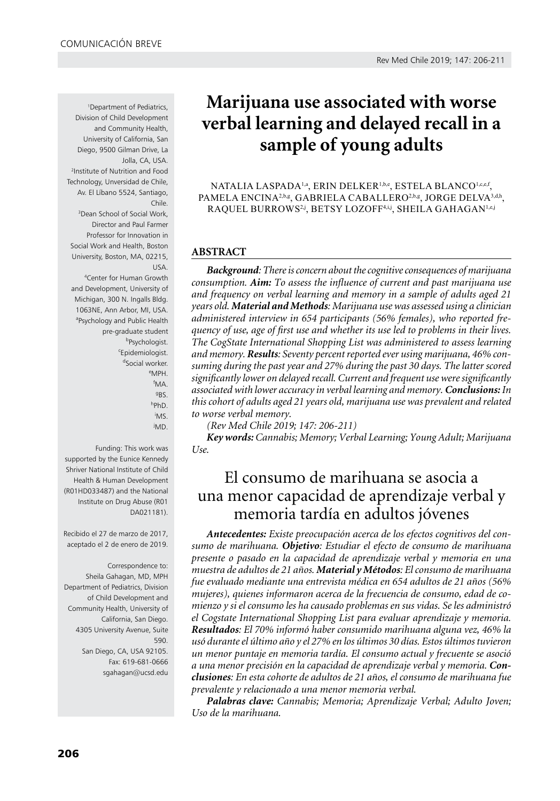1 Department of Pediatrics, Division of Child Development and Community Health, University of California, San Diego, 9500 Gilman Drive, La Jolla, CA, USA. 2 Institute of Nutrition and Food Technology, Unversidad de Chile, Av. El Líbano 5524, Santiago, Chile. 3 Dean School of Social Work, Director and Paul Farmer Professor for Innovation in

Social Work and Health, Boston University, Boston, MA, 02215, USA.

4 Center for Human Growth and Development, University of Michigan, 300 N. Ingalls Bldg. 1063NE, Ann Arbor, MI, USA. a Psychology and Public Health pre-graduate student b<sub>Psychologist.</sub> c Epidemiologist. <sup>d</sup>Social worker. e MPH. f MA. g BS. h PhD. i MS. j MD.

Funding: This work was supported by the Eunice Kennedy Shriver National Institute of Child Health & Human Development (R01HD033487) and the National Institute on Drug Abuse (R01 DA021181).

Recibido el 27 de marzo de 2017, aceptado el 2 de enero de 2019.

Correspondence to: Sheila Gahagan, MD, MPH Department of Pediatrics, Division of Child Development and Community Health, University of California, San Diego. 4305 University Avenue, Suite 590. San Diego, CA, USA 92105. Fax: 619-681-0666 sgahagan@ucsd.edu

# **Marijuana use associated with worse verbal learning and delayed recall in a sample of young adults**

Natalia LaSpada1,a , Erin Delker1,b,e, Estela Blanco1,c,e,f, PAMELA ENCINA<sup>2,b,g</sup>, GABRIELA CABALLERO<sup>2,b,g</sup>, JORGE DELVA<sup>3,d,h</sup>, RAQUEL BURROWS<sup>2,j</sup>, BETSY LOZOFF<sup>4,i,j</sup>, SHEILA GAHAGAN<sup>1,e,j</sup>

# **ABSTRACT**

*Background: There is concern about the cognitive consequences of marijuana consumption. Aim: To assess the influence of current and past marijuana use and frequency on verbal learning and memory in a sample of adults aged 21 years old. Material and Methods: Marijuana use was assessed using a clinician administered interview in 654 participants (56% females), who reported frequency of use, age of first use and whether its use led to problems in their lives. The CogState International Shopping List was administered to assess learning and memory. Results: Seventy percent reported ever using marijuana, 46% consuming during the past year and 27% during the past 30 days. The latter scored significantly lower on delayed recall. Current and frequent use were significantly associated with lower accuracy in verbal learning and memory. Conclusions: In this cohort of adults aged 21 years old, marijuana use was prevalent and related to worse verbal memory.*

*(Rev Med Chile 2019; 147: 206-211)* 

*Key words: Cannabis; Memory; Verbal Learning; Young Adult; Marijuana Use.*

# El consumo de marihuana se asocia a una menor capacidad de aprendizaje verbal y memoria tardía en adultos jóvenes

*Antecedentes: Existe preocupación acerca de los efectos cognitivos del consumo de marihuana. Objetivo: Estudiar el efecto de consumo de marihuana presente o pasado en la capacidad de aprendizaje verbal y memoria en una muestra de adultos de 21 años. Material y Métodos: El consumo de marihuana fue evaluado mediante una entrevista médica en 654 adultos de 21 años (56% mujeres), quienes informaron acerca de la frecuencia de consumo, edad de comienzo y si el consumo les ha causado problemas en sus vidas. Se les administró el Cogstate International Shopping List para evaluar aprendizaje y memoria. Resultados: El 70% informó haber consumido marihuana alguna vez, 46% la usó durante el último año y el 27% en los últimos 30 días. Estos últimos tuvieron un menor puntaje en memoria tardía. El consumo actual y frecuente se asoció a una menor precisión en la capacidad de aprendizaje verbal y memoria. Conclusiones: En esta cohorte de adultos de 21 años, el consumo de marihuana fue prevalente y relacionado a una menor memoria verbal.* 

*Palabras clave: Cannabis; Memoria; Aprendizaje Verbal; Adulto Joven; Uso de la marihuana.*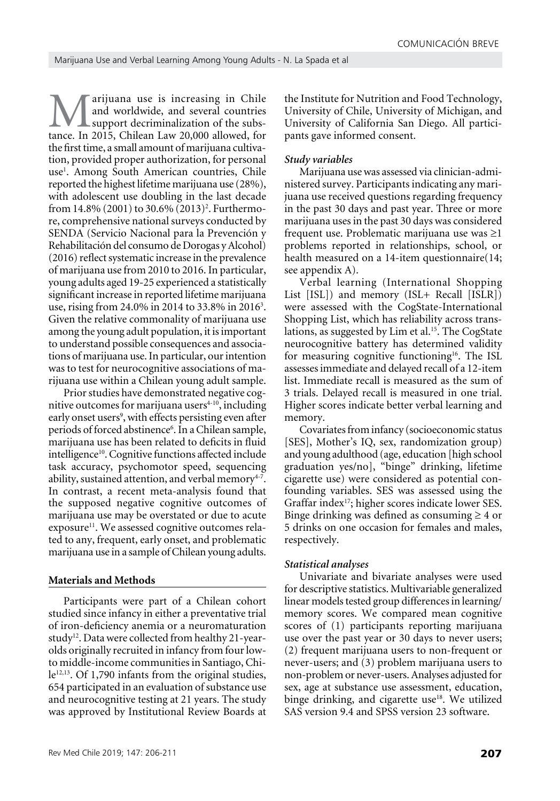**Marijuana use is increasing in Chile**<br>and worldwide, and several countries<br>tance. In 2015, Chilean Law 20,000 allowed, for and worldwide, and several countries support decriminalization of the substance. In 2015, Chilean Law 20,000 allowed, for the first time, a small amount of marijuana cultivation, provided proper authorization, for personal use<sup>1</sup>. Among South American countries, Chile reported the highest lifetime marijuana use (28%), with adolescent use doubling in the last decade from 14.8% (2001) to 30.6% (2013)<sup>2</sup>. Furthermore, comprehensive national surveys conducted by SENDA (Servicio Nacional para la Prevención y Rehabilitación del consumo de Dorogas y Alcohol) (2016) reflect systematic increase in the prevalence of marijuana use from 2010 to 2016. In particular, young adults aged 19-25 experienced a statistically significant increase in reported lifetime marijuana use, rising from 24.0% in 2014 to 33.8% in 2016<sup>3</sup>. Given the relative commonality of marijuana use among the young adult population, it is important to understand possible consequences and associations of marijuana use. In particular, our intention was to test for neurocognitive associations of marijuana use within a Chilean young adult sample.

Prior studies have demonstrated negative cognitive outcomes for marijuana users $4-10$ , including early onset users<sup>9</sup>, with effects persisting even after periods of forced abstinence<sup>6</sup>. In a Chilean sample, marijuana use has been related to deficits in fluid intelligence<sup>10</sup>. Cognitive functions affected include task accuracy, psychomotor speed, sequencing ability, sustained attention, and verbal memory $4-7$ . In contrast, a recent meta-analysis found that the supposed negative cognitive outcomes of marijuana use may be overstated or due to acute exposure<sup>11</sup>. We assessed cognitive outcomes related to any, frequent, early onset, and problematic marijuana use in a sample of Chilean young adults.

### **Materials and Methods**

Participants were part of a Chilean cohort studied since infancy in either a preventative trial of iron-deficiency anemia or a neuromaturation study<sup>12</sup>. Data were collected from healthy 21-yearolds originally recruited in infancy from four lowto middle-income communities in Santiago, Chile<sup>12,13</sup>. Of 1,790 infants from the original studies, 654 participated in an evaluation of substance use and neurocognitive testing at 21 years. The study was approved by Institutional Review Boards at

the Institute for Nutrition and Food Technology, University of Chile, University of Michigan, and University of California San Diego. All participants gave informed consent.

### *Study variables*

Marijuana use was assessed via clinician-administered survey. Participants indicating any marijuana use received questions regarding frequency in the past 30 days and past year. Three or more marijuana uses in the past 30 days was considered frequent use. Problematic marijuana use was ≥1 problems reported in relationships, school, or health measured on a 14-item questionnaire(14; see appendix A).

Verbal learning (International Shopping List [ISL]) and memory (ISL+ Recall [ISLR]) were assessed with the CogState-International Shopping List, which has reliability across translations, as suggested by Lim et al.<sup>15</sup>. The CogState neurocognitive battery has determined validity for measuring cognitive functioning<sup>16</sup>. The ISL assesses immediate and delayed recall of a 12-item list. Immediate recall is measured as the sum of 3 trials. Delayed recall is measured in one trial. Higher scores indicate better verbal learning and memory.

Covariates from infancy (socioeconomic status [SES], Mother's IQ, sex, randomization group) and young adulthood (age, education [high school graduation yes/no], "binge" drinking, lifetime cigarette use) were considered as potential confounding variables. SES was assessed using the Graffar index<sup>17</sup>; higher scores indicate lower SES. Binge drinking was defined as consuming  $\geq 4$  or 5 drinks on one occasion for females and males, respectively.

## *Statistical analyses*

Univariate and bivariate analyses were used for descriptive statistics. Multivariable generalized linear models tested group differences in learning/ memory scores. We compared mean cognitive scores of (1) participants reporting marijuana use over the past year or 30 days to never users; (2) frequent marijuana users to non-frequent or never-users; and (3) problem marijuana users to non-problem or never-users. Analyses adjusted for sex, age at substance use assessment, education, binge drinking, and cigarette use<sup>18</sup>. We utilized SAS version 9.4 and SPSS version 23 software.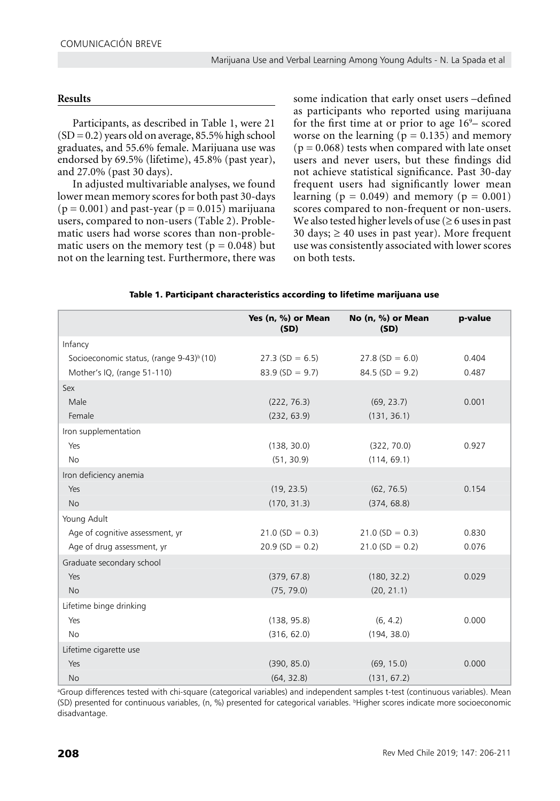# **Results**

Participants, as described in Table 1, were 21  $(SD = 0.2)$  years old on average, 85.5% high school graduates, and 55.6% female. Marijuana use was endorsed by 69.5% (lifetime), 45.8% (past year), and 27.0% (past 30 days).

In adjusted multivariable analyses, we found lower mean memory scores for both past 30-days  $(p = 0.001)$  and past-year  $(p = 0.015)$  marijuana users, compared to non-users (Table 2). Problematic users had worse scores than non-problematic users on the memory test ( $p = 0.048$ ) but not on the learning test. Furthermore, there was some indication that early onset users –defined as participants who reported using marijuana for the first time at or prior to age  $16^{\circ}$ – scored worse on the learning ( $p = 0.135$ ) and memory  $(p = 0.068)$  tests when compared with late onset users and never users, but these findings did not achieve statistical significance. Past 30-day frequent users had significantly lower mean learning ( $p = 0.049$ ) and memory ( $p = 0.001$ ) scores compared to non-frequent or non-users. We also tested higher levels of use ( $\geq 6$  uses in past 30 days;  $\geq$  40 uses in past year). More frequent use was consistently associated with lower scores on both tests.

|                                                      | Yes (n, %) or Mean<br>(SD) | No (n, %) or Mean<br>(SD) | p-value |
|------------------------------------------------------|----------------------------|---------------------------|---------|
| Infancy                                              |                            |                           |         |
| Socioeconomic status, (range 9-43) <sup>b</sup> (10) | $27.3$ (SD = 6.5)          | $27.8$ (SD = 6.0)         | 0.404   |
| Mother's IQ, (range 51-110)                          | $83.9(SD = 9.7)$           | $84.5$ (SD = 9.2)         | 0.487   |
| Sex                                                  |                            |                           |         |
| Male                                                 | (222, 76.3)                | (69, 23.7)                | 0.001   |
| Female                                               | (232, 63.9)                | (131, 36.1)               |         |
| Iron supplementation                                 |                            |                           |         |
| Yes                                                  | (138, 30.0)                | (322, 70.0)               | 0.927   |
| <b>No</b>                                            | (51, 30.9)                 | (114, 69.1)               |         |
| Iron deficiency anemia                               |                            |                           |         |
| Yes                                                  | (19, 23.5)                 | (62, 76.5)                | 0.154   |
| <b>No</b>                                            | (170, 31.3)                | (374, 68.8)               |         |
| Young Adult                                          |                            |                           |         |
| Age of cognitive assessment, yr                      | $21.0$ (SD = 0.3)          | $21.0$ (SD = 0.3)         | 0.830   |
| Age of drug assessment, yr                           | $20.9$ (SD = 0.2)          | $21.0$ (SD = 0.2)         | 0.076   |
| Graduate secondary school                            |                            |                           |         |
| Yes                                                  | (379, 67.8)                | (180, 32.2)               | 0.029   |
| <b>No</b>                                            | (75, 79.0)                 | (20, 21.1)                |         |
| Lifetime binge drinking                              |                            |                           |         |
| Yes                                                  | (138, 95.8)                | (6, 4.2)                  | 0.000   |
| <b>No</b>                                            | (316, 62.0)                | (194, 38.0)               |         |
| Lifetime cigarette use                               |                            |                           |         |
| Yes                                                  | (390, 85.0)                | (69, 15.0)                | 0.000   |
| No                                                   | (64, 32.8)                 | (131, 67.2)               |         |

#### Table 1. Participant characteristics according to lifetime marijuana use

a Group differences tested with chi-square (categorical variables) and independent samples t-test (continuous variables). Mean (SD) presented for continuous variables, (n, %) presented for categorical variables. <sup>b</sup> Higher scores indicate more socioeconomic disadvantage.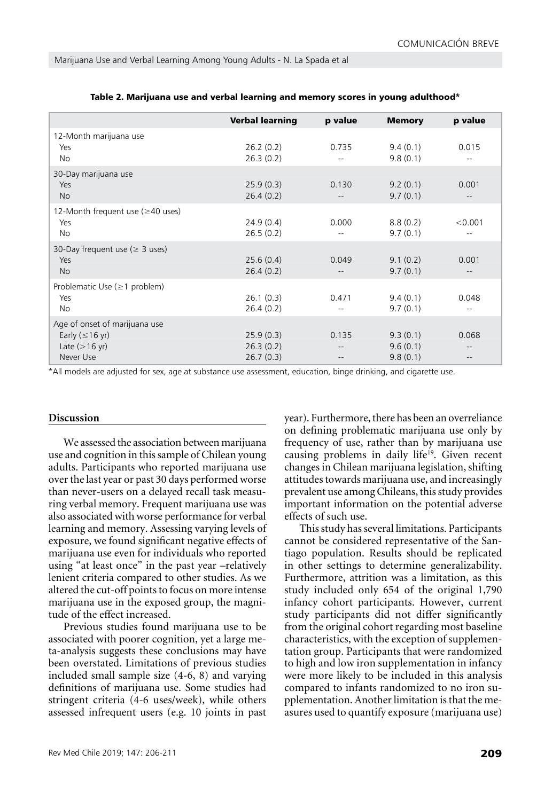|                                                                                       | <b>Verbal learning</b>              | p value | <b>Memory</b>                    | p value      |
|---------------------------------------------------------------------------------------|-------------------------------------|---------|----------------------------------|--------------|
| 12-Month marijuana use<br>Yes<br>No.                                                  | 26.2(0.2)<br>26.3(0.2)              | 0.735   | 9.4(0.1)<br>9.8(0.1)             | 0.015        |
| 30-Day marijuana use<br>Yes<br><b>No</b>                                              | 25.9(0.3)<br>26.4(0.2)              | 0.130   | 9.2(0.1)<br>9.7(0.1)             | 0.001<br>$-$ |
| 12-Month frequent use ( $\geq$ 40 uses)<br>Yes<br>No.                                 | 24.9(0.4)<br>26.5(0.2)              | 0.000   | 8.8(0.2)<br>9.7(0.1)             | < 0.001      |
| 30-Day frequent use ( $\geq$ 3 uses)<br>Yes<br><b>No</b>                              | 25.6(0.4)<br>26.4(0.2)              | 0.049   | 9.1(0.2)<br>9.7(0.1)             | 0.001        |
| Problematic Use $(\geq 1$ problem)<br>Yes<br><b>No</b>                                | 26.1(0.3)<br>26.4(0.2)              | 0.471   | 9.4(0.1)<br>9.7(0.1)             | 0.048<br>$-$ |
| Age of onset of marijuana use<br>Early $(\leq 16$ yr)<br>Late $(>16$ yr)<br>Never Use | 25.9(0.3)<br>26.3(0.2)<br>26.7(0.3) | 0.135   | 9.3(0.1)<br>9.6(0.1)<br>9.8(0.1) | 0.068        |

#### Table 2. Marijuana use and verbal learning and memory scores in young adulthood\*

\*All models are adjusted for sex, age at substance use assessment, education, binge drinking, and cigarette use.

## **Discussion**

We assessed the association between marijuana use and cognition in this sample of Chilean young adults. Participants who reported marijuana use over the last year or past 30 days performed worse than never-users on a delayed recall task measuring verbal memory. Frequent marijuana use was also associated with worse performance for verbal learning and memory. Assessing varying levels of exposure, we found significant negative effects of marijuana use even for individuals who reported using "at least once" in the past year –relatively lenient criteria compared to other studies. As we altered the cut-off points to focus on more intense marijuana use in the exposed group, the magnitude of the effect increased.

Previous studies found marijuana use to be associated with poorer cognition, yet a large meta-analysis suggests these conclusions may have been overstated. Limitations of previous studies included small sample size (4-6, 8) and varying definitions of marijuana use. Some studies had stringent criteria (4-6 uses/week), while others assessed infrequent users (e.g. 10 joints in past year). Furthermore, there has been an overreliance on defining problematic marijuana use only by frequency of use, rather than by marijuana use causing problems in daily life<sup>19</sup>. Given recent changes in Chilean marijuana legislation, shifting attitudes towards marijuana use, and increasingly prevalent use among Chileans, this study provides important information on the potential adverse effects of such use.

This study has several limitations. Participants cannot be considered representative of the Santiago population. Results should be replicated in other settings to determine generalizability. Furthermore, attrition was a limitation, as this study included only 654 of the original 1,790 infancy cohort participants. However, current study participants did not differ significantly from the original cohort regarding most baseline characteristics, with the exception of supplementation group. Participants that were randomized to high and low iron supplementation in infancy were more likely to be included in this analysis compared to infants randomized to no iron supplementation. Another limitation is that the measures used to quantify exposure (marijuana use)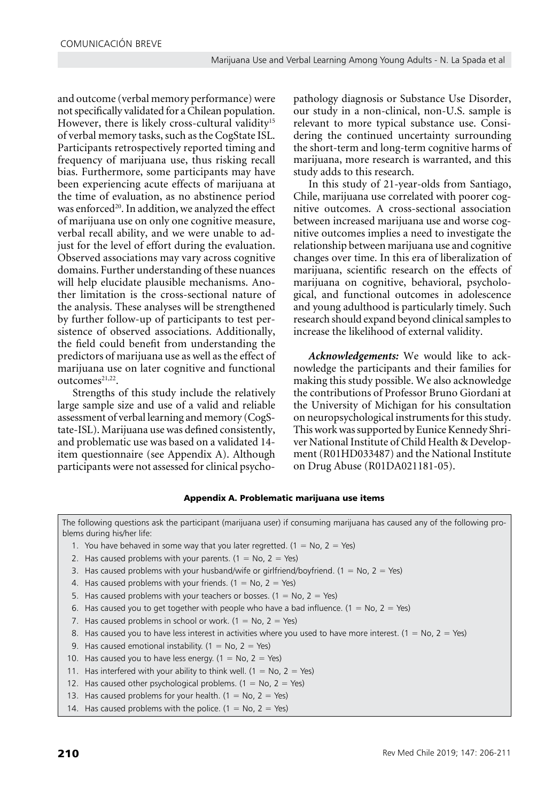and outcome (verbal memory performance) were not specifically validated for a Chilean population. However, there is likely cross-cultural validity<sup>15</sup> of verbal memory tasks, such as the CogState ISL. Participants retrospectively reported timing and frequency of marijuana use, thus risking recall bias. Furthermore, some participants may have been experiencing acute effects of marijuana at the time of evaluation, as no abstinence period was enforced<sup>20</sup>. In addition, we analyzed the effect of marijuana use on only one cognitive measure, verbal recall ability, and we were unable to adjust for the level of effort during the evaluation. Observed associations may vary across cognitive domains. Further understanding of these nuances will help elucidate plausible mechanisms. Another limitation is the cross-sectional nature of the analysis. These analyses will be strengthened by further follow-up of participants to test persistence of observed associations. Additionally, the field could benefit from understanding the predictors of marijuana use as well as the effect of marijuana use on later cognitive and functional outcomes<sup>21,22</sup>.

Strengths of this study include the relatively large sample size and use of a valid and reliable assessment of verbal learning and memory (CogState-ISL). Marijuana use was defined consistently, and problematic use was based on a validated 14 item questionnaire (see Appendix A). Although participants were not assessed for clinical psycho-

pathology diagnosis or Substance Use Disorder, our study in a non-clinical, non-U.S. sample is relevant to more typical substance use. Considering the continued uncertainty surrounding the short-term and long-term cognitive harms of marijuana, more research is warranted, and this study adds to this research.

In this study of 21-year-olds from Santiago, Chile, marijuana use correlated with poorer cognitive outcomes. A cross-sectional association between increased marijuana use and worse cognitive outcomes implies a need to investigate the relationship between marijuana use and cognitive changes over time. In this era of liberalization of marijuana, scientific research on the effects of marijuana on cognitive, behavioral, psychological, and functional outcomes in adolescence and young adulthood is particularly timely. Such research should expand beyond clinical samples to increase the likelihood of external validity.

*Acknowledgements:* We would like to acknowledge the participants and their families for making this study possible. We also acknowledge the contributions of Professor Bruno Giordani at the University of Michigan for his consultation on neuropsychological instruments for this study. This work was supported by Eunice Kennedy Shriver National Institute of Child Health & Development (R01HD033487) and the National Institute on Drug Abuse (R01DA021181-05).

# Appendix A. Problematic marijuana use items

The following questions ask the participant (marijuana user) if consuming marijuana has caused any of the following problems during his/her life:

- 1. You have behaved in some way that you later regretted.  $(1 = No, 2 = Yes)$
- 2. Has caused problems with your parents.  $(1 = No, 2 = Yes)$
- 3. Has caused problems with your husband/wife or girlfriend/boyfriend. ( $1 = No$ ,  $2 = Yes$ )
- 4. Has caused problems with your friends. ( $1 = No$ ,  $2 = Yes$ )
- 5. Has caused problems with your teachers or bosses. (1 = No, 2 = Yes)
- 6. Has caused you to get together with people who have a bad influence. ( $1 = No$ ,  $2 = Yes$ )
- 7. Has caused problems in school or work.  $(1 = No, 2 = Yes)$
- 8. Has caused you to have less interest in activities where you used to have more interest. (1 = No, 2 = Yes)
- 9. Has caused emotional instability. (1 = No, 2 = Yes)
- 10. Has caused you to have less energy.  $(1 = No, 2 = Yes)$
- 11. Has interfered with your ability to think well. (1 = No, 2 = Yes)
- 12. Has caused other psychological problems. (1 = No, 2 = Yes)
- 13. Has caused problems for your health.  $(1 = No, 2 = Yes)$
- 14. Has caused problems with the police. (1 = No, 2 = Yes)